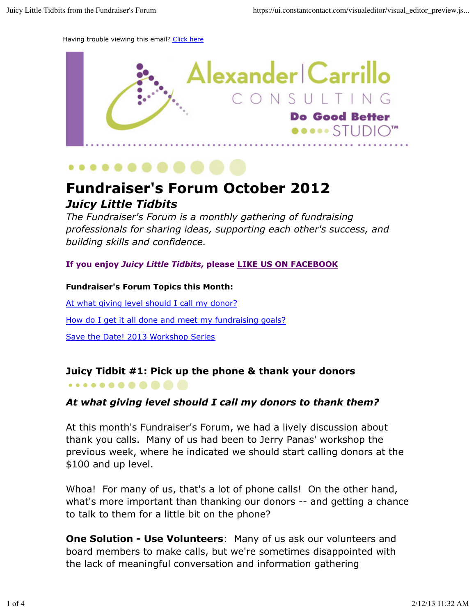Having trouble viewing this email? Click here





# **Fundraiser's Forum October 2012** *Juicy Little Tidbits*

*The Fundraiser's Forum is a monthly gathering of fundraising professionals for sharing ideas, supporting each other's success, and building skills and confidence.*

**If you enjoy** *Juicy Little Tidbits***, please LIKE US ON FACEBOOK**

#### **Fundraiser's Forum Topics this Month:**

At what giving level should I call my donor?

How do I get it all done and meet my fundraising goals?

Save the Date! 2013 Workshop Series

. . . . . **. . . . . . .** 

#### **Juicy Tidbit #1: Pick up the phone & thank your donors**

#### *At what giving level should I call my donors to thank them?*

At this month's Fundraiser's Forum, we had a lively discussion about thank you calls. Many of us had been to Jerry Panas' workshop the previous week, where he indicated we should start calling donors at the \$100 and up level.

Whoa! For many of us, that's a lot of phone calls! On the other hand, what's more important than thanking our donors -- and getting a chance to talk to them for a little bit on the phone?

**One Solution - Use Volunteers**: Many of us ask our volunteers and board members to make calls, but we're sometimes disappointed with the lack of meaningful conversation and information gathering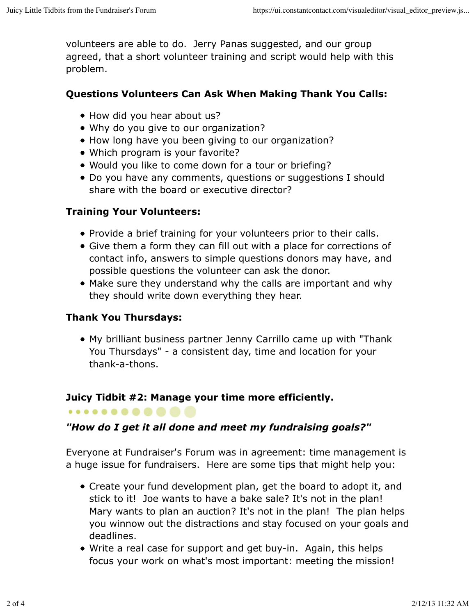volunteers are able to do. Jerry Panas suggested, and our group agreed, that a short volunteer training and script would help with this problem.

# **Questions Volunteers Can Ask When Making Thank You Calls:**

- How did you hear about us?
- Why do you give to our organization?
- How long have you been giving to our organization?
- Which program is your favorite?
- Would you like to come down for a tour or briefing?
- Do you have any comments, questions or suggestions I should share with the board or executive director?

## **Training Your Volunteers:**

- Provide a brief training for your volunteers prior to their calls.
- Give them a form they can fill out with a place for corrections of contact info, answers to simple questions donors may have, and possible questions the volunteer can ask the donor.
- Make sure they understand why the calls are important and why they should write down everything they hear.

# **Thank You Thursdays:**

. . . . . **. . . . . . .** 

My brilliant business partner Jenny Carrillo came up with "Thank You Thursdays" - a consistent day, time and location for your thank-a-thons.

## **Juicy Tidbit #2: Manage your time more efficiently.**

# *"How do I get it all done and meet my fundraising goals?"*

Everyone at Fundraiser's Forum was in agreement: time management is a huge issue for fundraisers. Here are some tips that might help you:

- Create your fund development plan, get the board to adopt it, and stick to it! Joe wants to have a bake sale? It's not in the plan! Mary wants to plan an auction? It's not in the plan! The plan helps you winnow out the distractions and stay focused on your goals and deadlines.
- Write a real case for support and get buy-in. Again, this helps focus your work on what's most important: meeting the mission!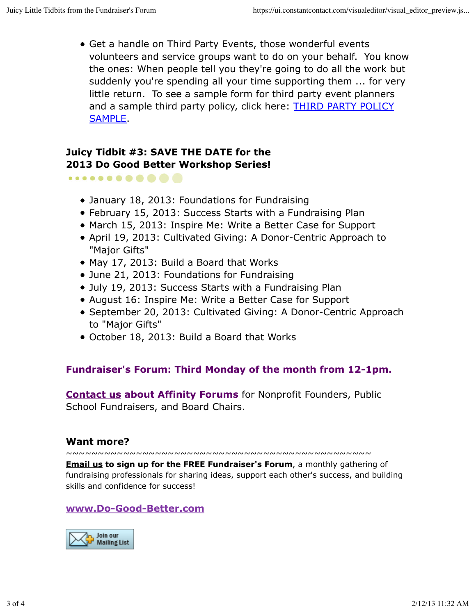Get a handle on Third Party Events, those wonderful events volunteers and service groups want to do on your behalf. You know the ones: When people tell you they're going to do all the work but suddenly you're spending all your time supporting them ... for very little return. To see a sample form for third party event planners and a sample third party policy, click here: **THIRD PARTY POLICY** SAMPLE.

#### **Juicy Tidbit #3: SAVE THE DATE for the 2013 Do Good Better Workshop Series!**

. . . . . . **. . . . . .** 

- January 18, 2013: Foundations for Fundraising
- February 15, 2013: Success Starts with a Fundraising Plan
- March 15, 2013: Inspire Me: Write a Better Case for Support
- April 19, 2013: Cultivated Giving: A Donor-Centric Approach to "Major Gifts"
- May 17, 2013: Build a Board that Works
- June 21, 2013: Foundations for Fundraising
- July 19, 2013: Success Starts with a Fundraising Plan
- August 16: Inspire Me: Write a Better Case for Support
- September 20, 2013: Cultivated Giving: A Donor-Centric Approach to "Major Gifts"
- October 18, 2013: Build a Board that Works

## **Fundraiser's Forum: Third Monday of the month from 12-1pm.**

**Contact us about Affinity Forums** for Nonprofit Founders, Public School Fundraisers, and Board Chairs.

#### **Want more?**

~~~~~~~~~~~~~~~~~~~~~~~~~~~~~~~~~~~~~~~~~~~~~~~~

**Email us to sign up for the FREE Fundraiser's Forum**, a monthly gathering of fundraising professionals for sharing ideas, support each other's success, and building skills and confidence for success!

#### **www.Do-Good-Better.com**